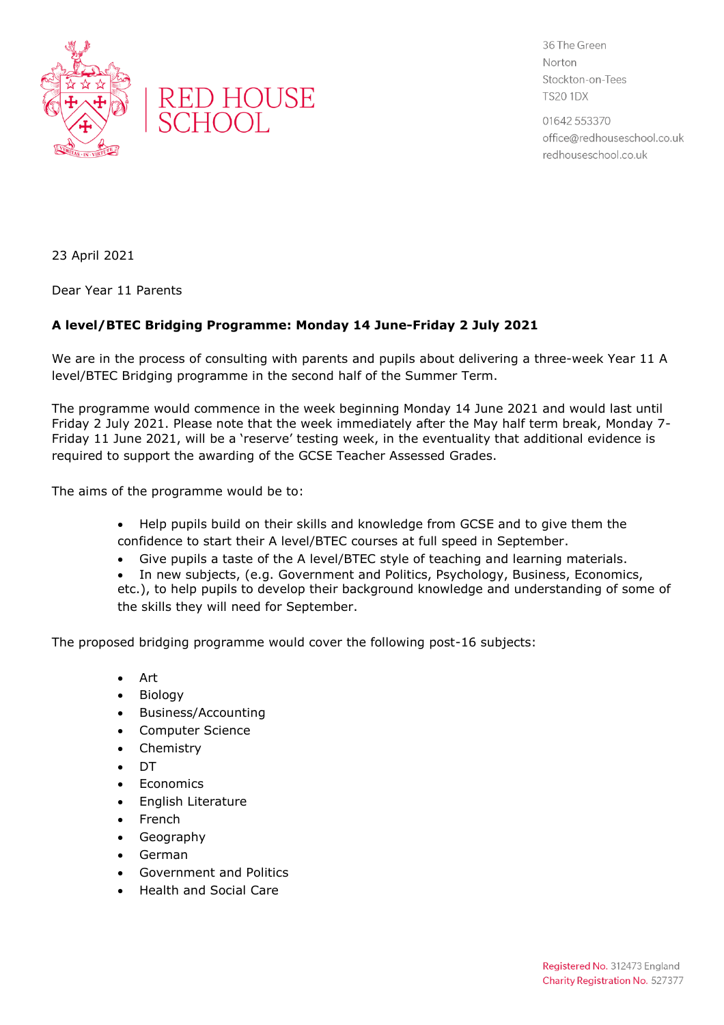



36 The Green Norton Stockton-on-Tees **TS20 1DX** 

01642 553370 office@redhouseschool.co.uk redhouseschool.co.uk

23 April 2021

Dear Year 11 Parents

## **A level/BTEC Bridging Programme: Monday 14 June-Friday 2 July 2021**

We are in the process of consulting with parents and pupils about delivering a three-week Year 11 A level/BTEC Bridging programme in the second half of the Summer Term.

The programme would commence in the week beginning Monday 14 June 2021 and would last until Friday 2 July 2021. Please note that the week immediately after the May half term break, Monday 7- Friday 11 June 2021, will be a 'reserve' testing week, in the eventuality that additional evidence is required to support the awarding of the GCSE Teacher Assessed Grades.

The aims of the programme would be to:

- Help pupils build on their skills and knowledge from GCSE and to give them the confidence to start their A level/BTEC courses at full speed in September.
- Give pupils a taste of the A level/BTEC style of teaching and learning materials.
- In new subjects, (e.g. Government and Politics, Psychology, Business, Economics, etc.), to help pupils to develop their background knowledge and understanding of some of the skills they will need for September.

The proposed bridging programme would cover the following post-16 subjects:

- Art
- Biology
- Business/Accounting
- Computer Science
- Chemistry
- DT
- Economics
- English Literature
- French
- Geography
- German
- Government and Politics
- Health and Social Care